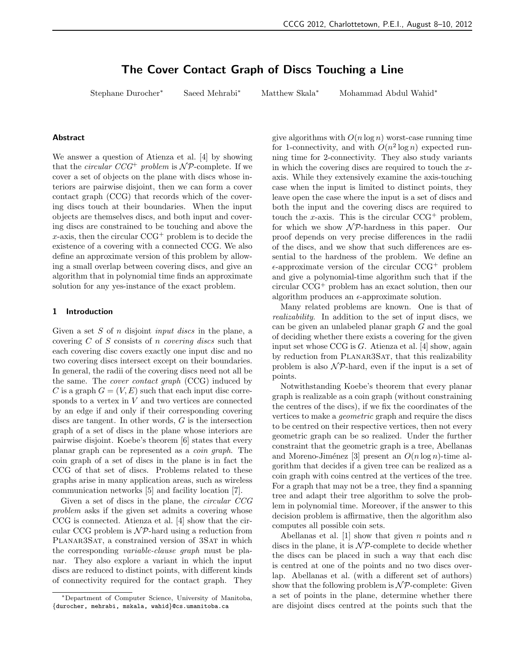# The Cover Contact Graph of Discs Touching a Line

Stephane Durocher∗ Saeed Mehrabi∗ Matthew Skala∗ Mohammad Abdul Wahid∗

#### Abstract

We answer a question of Atienza et al. [4] by showing that the *circular*  $CCG^+$  problem is  $\mathcal{NP}$ -complete. If we cover a set of objects on the plane with discs whose interiors are pairwise disjoint, then we can form a cover contact graph (CCG) that records which of the covering discs touch at their boundaries. When the input objects are themselves discs, and both input and covering discs are constrained to be touching and above the  $x$ -axis, then the circular  $CCG^+$  problem is to decide the existence of a covering with a connected CCG. We also define an approximate version of this problem by allowing a small overlap between covering discs, and give an algorithm that in polynomial time finds an approximate solution for any yes-instance of the exact problem.

## 1 Introduction

Given a set S of n disjoint *input discs* in the plane, a covering  $C$  of  $S$  consists of n *covering discs* such that each covering disc covers exactly one input disc and no two covering discs intersect except on their boundaries. In general, the radii of the covering discs need not all be the same. The cover contact graph (CCG) induced by C is a graph  $G = (V, E)$  such that each input disc corresponds to a vertex in V and two vertices are connected by an edge if and only if their corresponding covering discs are tangent. In other words, G is the intersection graph of a set of discs in the plane whose interiors are pairwise disjoint. Koebe's theorem [6] states that every planar graph can be represented as a coin graph. The coin graph of a set of discs in the plane is in fact the CCG of that set of discs. Problems related to these graphs arise in many application areas, such as wireless communication networks [5] and facility location [7].

Given a set of discs in the plane, the circular CCG problem asks if the given set admits a covering whose CCG is connected. Atienza et al. [4] show that the circular CCG problem is  $N\mathcal{P}$ -hard using a reduction from PLANAR3SAT, a constrained version of 3SAT in which the corresponding variable-clause graph must be planar. They also explore a variant in which the input discs are reduced to distinct points, with different kinds of connectivity required for the contact graph. They give algorithms with  $O(n \log n)$  worst-case running time for 1-connectivity, and with  $O(n^2 \log n)$  expected running time for 2-connectivity. They also study variants in which the covering discs are required to touch the xaxis. While they extensively examine the axis-touching case when the input is limited to distinct points, they leave open the case where the input is a set of discs and both the input and the covering discs are required to touch the x-axis. This is the circular  $CCG^+$  problem, for which we show  $\mathcal{NP}\text{-}$  hardness in this paper. Our proof depends on very precise differences in the radii of the discs, and we show that such differences are essential to the hardness of the problem. We define an  $\epsilon$ -approximate version of the circular CCG<sup>+</sup> problem and give a polynomial-time algorithm such that if the circular CCG<sup>+</sup> problem has an exact solution, then our algorithm produces an  $\epsilon$ -approximate solution.

Many related problems are known. One is that of realizability. In addition to the set of input discs, we can be given an unlabeled planar graph G and the goal of deciding whether there exists a covering for the given input set whose CCG is G. Atienza et al. [4] show, again by reduction from PLANAR3SAT, that this realizability problem is also  $\mathcal{NP}$ -hard, even if the input is a set of points.

Notwithstanding Koebe's theorem that every planar graph is realizable as a coin graph (without constraining the centres of the discs), if we fix the coordinates of the vertices to make a geometric graph and require the discs to be centred on their respective vertices, then not every geometric graph can be so realized. Under the further constraint that the geometric graph is a tree, Abellanas and Moreno-Jiménez [3] present an  $O(n \log n)$ -time algorithm that decides if a given tree can be realized as a coin graph with coins centred at the vertices of the tree. For a graph that may not be a tree, they find a spanning tree and adapt their tree algorithm to solve the problem in polynomial time. Moreover, if the answer to this decision problem is affirmative, then the algorithm also computes all possible coin sets.

Abellanas et al.  $[1]$  show that given n points and n discs in the plane, it is  $\mathcal{NP}$ -complete to decide whether the discs can be placed in such a way that each disc is centred at one of the points and no two discs overlap. Abellanas et al. (with a different set of authors) show that the following problem is  $\mathcal{NP}$ -complete: Given a set of points in the plane, determine whether there are disjoint discs centred at the points such that the

<sup>∗</sup>Department of Computer Science, University of Manitoba, {durocher, mehrabi, mskala, wahid}@cs.umanitoba.ca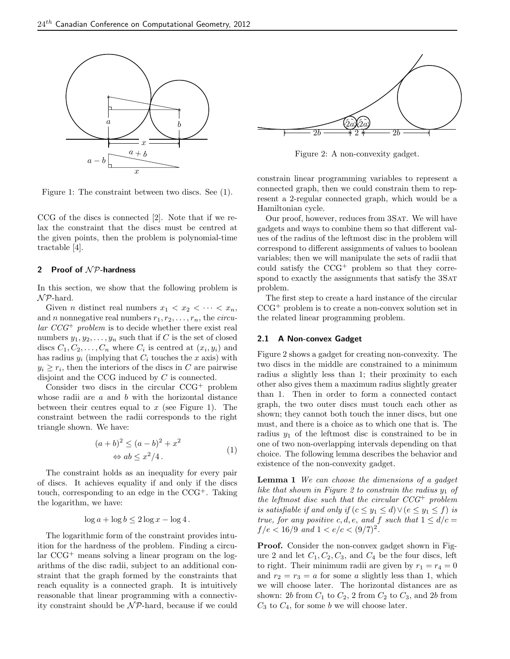

Figure 1: The constraint between two discs. See (1).

CCG of the discs is connected [2]. Note that if we relax the constraint that the discs must be centred at the given points, then the problem is polynomial-time tractable [4].

## 2 Proof of  $N$ P-hardness

In this section, we show that the following problem is  $N\mathcal{P}$ -hard.

Given *n* distinct real numbers  $x_1 < x_2 < \cdots < x_n$ , and n nonnegative real numbers  $r_1, r_2, \ldots, r_n$ , the *circu* $lar$   $CCG^+$  problem is to decide whether there exist real numbers  $y_1, y_2, \ldots, y_n$  such that if C is the set of closed discs  $C_1, C_2, \ldots, C_n$  where  $C_i$  is centred at  $(x_i, y_i)$  and has radius  $y_i$  (implying that  $C_i$  touches the x axis) with  $y_i \geq r_i$ , then the interiors of the discs in C are pairwise disjoint and the CCG induced by C is connected.

Consider two discs in the circular CCG<sup>+</sup> problem whose radii are  $a$  and  $b$  with the horizontal distance between their centres equal to  $x$  (see Figure 1). The constraint between the radii corresponds to the right triangle shown. We have:

$$
(a+b)^2 \le (a-b)^2 + x^2
$$
  
\n
$$
\Leftrightarrow ab \le x^2/4.
$$
\n(1)

The constraint holds as an inequality for every pair of discs. It achieves equality if and only if the discs touch, corresponding to an edge in the  $CCG^+$ . Taking the logarithm, we have:

$$
\log a + \log b \le 2\log x - \log 4.
$$

The logarithmic form of the constraint provides intuition for the hardness of the problem. Finding a circular CCG<sup>+</sup> means solving a linear program on the logarithms of the disc radii, subject to an additional constraint that the graph formed by the constraints that reach equality is a connected graph. It is intuitively reasonable that linear programming with a connectivity constraint should be  $N$ P-hard, because if we could



Figure 2: A non-convexity gadget.

constrain linear programming variables to represent a connected graph, then we could constrain them to represent a 2-regular connected graph, which would be a Hamiltonian cycle.

Our proof, however, reduces from 3SAT. We will have gadgets and ways to combine them so that different values of the radius of the leftmost disc in the problem will correspond to different assignments of values to boolean variables; then we will manipulate the sets of radii that could satisfy the  $CCG^+$  problem so that they correspond to exactly the assignments that satisfy the 3SAT problem.

The first step to create a hard instance of the circular  $CCG^+$  problem is to create a non-convex solution set in the related linear programming problem.

## 2.1 A Non-convex Gadget

Figure 2 shows a gadget for creating non-convexity. The two discs in the middle are constrained to a minimum radius a slightly less than 1; their proximity to each other also gives them a maximum radius slightly greater than 1. Then in order to form a connected contact graph, the two outer discs must touch each other as shown; they cannot both touch the inner discs, but one must, and there is a choice as to which one that is. The radius  $y_1$  of the leftmost disc is constrained to be in one of two non-overlapping intervals depending on that choice. The following lemma describes the behavior and existence of the non-convexity gadget.

**Lemma 1** We can choose the dimensions of a gadget like that shown in Figure 2 to constrain the radius  $y_1$  of the leftmost disc such that the circular  $CCG^+$  problem is satisfiable if and only if  $(c \leq y_1 \leq d) \vee (e \leq y_1 \leq f)$  is true, for any positive c, d, e, and f such that  $1 \le d/c =$  $f/e < 16/9$  and  $1 < e/c < (9/7)^2$ .

Proof. Consider the non-convex gadget shown in Figure 2 and let  $C_1, C_2, C_3$ , and  $C_4$  be the four discs, left to right. Their minimum radii are given by  $r_1 = r_4 = 0$ and  $r_2 = r_3 = a$  for some a slightly less than 1, which we will choose later. The horizontal distances are as shown: 2b from  $C_1$  to  $C_2$ , 2 from  $C_2$  to  $C_3$ , and 2b from  $C_3$  to  $C_4$ , for some b we will choose later.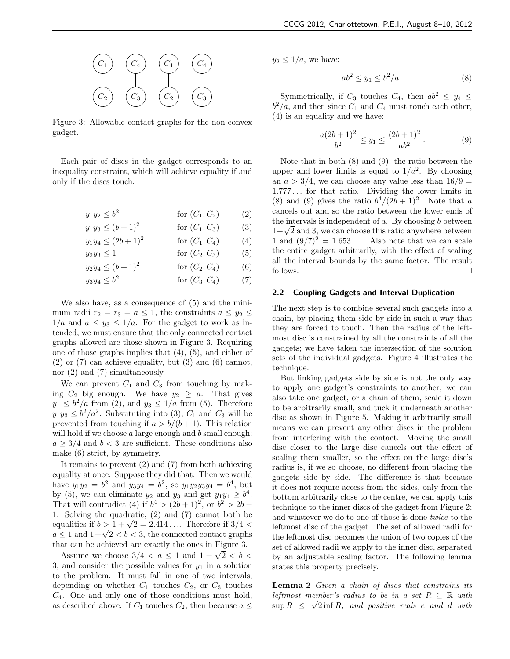

Figure 3: Allowable contact graphs for the non-convex gadget.

Each pair of discs in the gadget corresponds to an inequality constraint, which will achieve equality if and only if the discs touch.

$$
y_1 y_2 \le b^2 \qquad \text{for } (C_1, C_2) \qquad (2)
$$

$$
y_1 y_3 \le (b+1)^2 \quad \text{for } (C_1, C_3) \quad (3)
$$
  

$$
y_1 y_4 \le (2b+1)^2 \quad \text{for } (C_1, C_4) \quad (4)
$$

$$
f_1 y_4 \le (2b+1)^2 \quad \text{for } (C_1, C_4) \tag{4}
$$

$$
y_2 y_3 \le 1 \qquad \text{for } (C_2, C_3) \tag{5}
$$

$$
y_2 y_4 \le (b+1)^2
$$
 for  $(C_2, C_4)$  (6)

$$
y_3 y_4 \le b^2 \qquad \text{for } (C_3, C_4) \tag{7}
$$

We also have, as a consequence of (5) and the minimum radii  $r_2 = r_3 = a \leq 1$ , the constraints  $a \leq y_2 \leq$  $1/a$  and  $a \leq y_3 \leq 1/a$ . For the gadget to work as intended, we must ensure that the only connected contact graphs allowed are those shown in Figure 3. Requiring one of those graphs implies that (4), (5), and either of  $(2)$  or  $(7)$  can achieve equality, but  $(3)$  and  $(6)$  cannot, nor (2) and (7) simultaneously.

We can prevent  $C_1$  and  $C_3$  from touching by making  $C_2$  big enough. We have  $y_2 \geq a$ . That gives  $y_1 \leq b^2/a$  from (2), and  $y_3 \leq 1/a$  from (5). Therefore  $y_1y_3 \leq b^2/a^2$ . Substituting into (3),  $C_1$  and  $C_3$  will be prevented from touching if  $a > b/(b+1)$ . This relation will hold if we choose  $a$  large enough and  $b$  small enough;  $a \geq 3/4$  and  $b < 3$  are sufficient. These conditions also make (6) strict, by symmetry.

It remains to prevent (2) and (7) from both achieving equality at once. Suppose they did that. Then we would have  $y_1y_2 = b^2$  and  $y_3y_4 = b^2$ , so  $y_1y_2y_3y_4 = b^4$ , but by (5), we can eliminate  $y_2$  and  $y_3$  and get  $y_1y_4 \geq b^4$ . That will contradict (4) if  $b^4 > (2b+1)^2$ , or  $b^2 > 2b +$ 1. Solving the quadratic, (2) and (7) cannot both be equalities if  $b > 1 + \sqrt{2} = 2.414...$  Therefore if  $3/4 <$  $a \le 1$  and  $1 + \sqrt{2} < b < 3$ , the connected contact graphs that can be achieved are exactly the ones in Figure 3.

Assume we choose  $3/4 < a \leq 1$  and  $1 + \sqrt{2} < b <$ 3, and consider the possible values for  $y_1$  in a solution to the problem. It must fall in one of two intervals, depending on whether  $C_1$  touches  $C_2$ , or  $C_3$  touches  $C_4$ . One and only one of those conditions must hold, as described above. If  $C_1$  touches  $C_2$ , then because  $a \leq$   $y_2 \leq 1/a$ , we have:

$$
ab^2 \le y_1 \le b^2/a. \tag{8}
$$

Symmetrically, if  $C_3$  touches  $C_4$ , then  $ab^2 \leq y_4 \leq$  $b^2/a$ , and then since  $C_1$  and  $C_4$  must touch each other, (4) is an equality and we have:

$$
\frac{a(2b+1)^2}{b^2} \le y_1 \le \frac{(2b+1)^2}{ab^2}.
$$
 (9)

Note that in both (8) and (9), the ratio between the upper and lower limits is equal to  $1/a^2$ . By choosing an  $a > 3/4$ , we can choose any value less than  $16/9 =$ 1.777 . . . for that ratio. Dividing the lower limits in (8) and (9) gives the ratio  $b^4/(2b+1)^2$ . Note that a cancels out and so the ratio between the lower ends of the intervals is independent of  $a$ . By choosing  $b$  between  $1+\sqrt{2}$  and 3, we can choose this ratio anywhere between 1 and  $(9/7)^2 = 1.653...$  Also note that we can scale the entire gadget arbitrarily, with the effect of scaling all the interval bounds by the same factor. The result follows.  $\Box$ 

## 2.2 Coupling Gadgets and Interval Duplication

The next step is to combine several such gadgets into a chain, by placing them side by side in such a way that they are forced to touch. Then the radius of the leftmost disc is constrained by all the constraints of all the gadgets; we have taken the intersection of the solution sets of the individual gadgets. Figure 4 illustrates the technique.

But linking gadgets side by side is not the only way to apply one gadget's constraints to another; we can also take one gadget, or a chain of them, scale it down to be arbitrarily small, and tuck it underneath another disc as shown in Figure 5. Making it arbitrarily small means we can prevent any other discs in the problem from interfering with the contact. Moving the small disc closer to the large disc cancels out the effect of scaling them smaller, so the effect on the large disc's radius is, if we so choose, no different from placing the gadgets side by side. The difference is that because it does not require access from the sides, only from the bottom arbitrarily close to the centre, we can apply this technique to the inner discs of the gadget from Figure 2; and whatever we do to one of those is done twice to the leftmost disc of the gadget. The set of allowed radii for the leftmost disc becomes the union of two copies of the set of allowed radii we apply to the inner disc, separated by an adjustable scaling factor. The following lemma states this property precisely.

Lemma 2 Given a chain of discs that constrains its leftmost member's radius to be in a set  $R \subseteq \mathbb{R}$  with sup  $R \leq \sqrt{2}$  inf R, and positive reals c and d with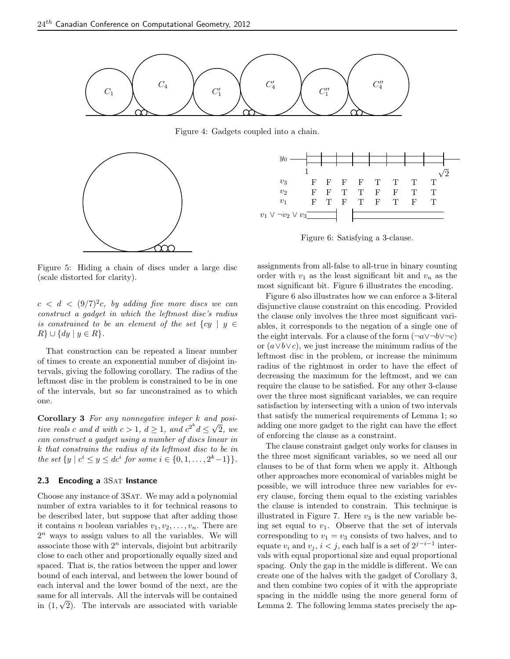

Figure 4: Gadgets coupled into a chain.



Figure 5: Hiding a chain of discs under a large disc (scale distorted for clarity).

 $c \, < \, d \, < \, (9/7)^2 c$ , by adding five more discs we can construct a gadget in which the leftmost disc's radius is constrained to be an element of the set  $\{cy \mid y \in$  $R$   $\cup$   $\{dy \mid y \in R\}.$ 

That construction can be repeated a linear number of times to create an exponential number of disjoint intervals, giving the following corollary. The radius of the leftmost disc in the problem is constrained to be in one of the intervals, but so far unconstrained as to which one.

Corollary 3 For any nonnegative integer k and positive reals c and d with  $c > 1$ ,  $d \ge 1$ , and  $c^{2^k} d \le \sqrt{2}$ , we can construct a gadget using a number of discs linear in k that constrains the radius of its leftmost disc to be in the set  $\{y \mid c^i \leq y \leq dc^i \text{ for some } i \in \{0, 1, ..., 2^k-1\}\}.$ 

## 2.3 Encoding a 3SAT Instance

Choose any instance of 3SAT. We may add a polynomial number of extra variables to it for technical reasons to be described later, but suppose that after adding those it contains *n* boolean variables  $v_1, v_2, \ldots, v_n$ . There are  $2<sup>n</sup>$  ways to assign values to all the variables. We will associate those with  $2<sup>n</sup>$  intervals, disjoint but arbitrarily close to each other and proportionally equally sized and spaced. That is, the ratios between the upper and lower bound of each interval, and between the lower bound of each interval and the lower bound of the next, are the same for all intervals. All the intervals will be contained in  $(1,\sqrt{2})$ . The intervals are associated with variable



Figure 6: Satisfying a 3-clause.

assignments from all-false to all-true in binary counting order with  $v_1$  as the least significant bit and  $v_n$  as the most significant bit. Figure 6 illustrates the encoding.

Figure 6 also illustrates how we can enforce a 3-literal disjunctive clause constraint on this encoding. Provided the clause only involves the three most significant variables, it corresponds to the negation of a single one of the eight intervals. For a clause of the form  $(\neg a \lor \neg b \lor \neg c)$ or  $(a \vee b \vee c)$ , we just increase the minimum radius of the leftmost disc in the problem, or increase the minimum radius of the rightmost in order to have the effect of decreasing the maximum for the leftmost, and we can require the clause to be satisfied. For any other 3-clause over the three most significant variables, we can require satisfaction by intersecting with a union of two intervals that satisfy the numerical requirements of Lemma 1; so adding one more gadget to the right can have the effect of enforcing the clause as a constraint.

The clause constraint gadget only works for clauses in the three most significant variables, so we need all our clauses to be of that form when we apply it. Although other approaches more economical of variables might be possible, we will introduce three new variables for every clause, forcing them equal to the existing variables the clause is intended to constrain. This technique is illustrated in Figure 7. Here  $v_3$  is the new variable being set equal to  $v_1$ . Observe that the set of intervals corresponding to  $v_1 = v_3$  consists of two halves, and to equate  $v_i$  and  $v_j$ ,  $i < j$ , each half is a set of  $2^{j-i-1}$  intervals with equal proportional size and equal proportional spacing. Only the gap in the middle is different. We can create one of the halves with the gadget of Corollary 3, and then combine two copies of it with the appropriate spacing in the middle using the more general form of Lemma 2. The following lemma states precisely the ap-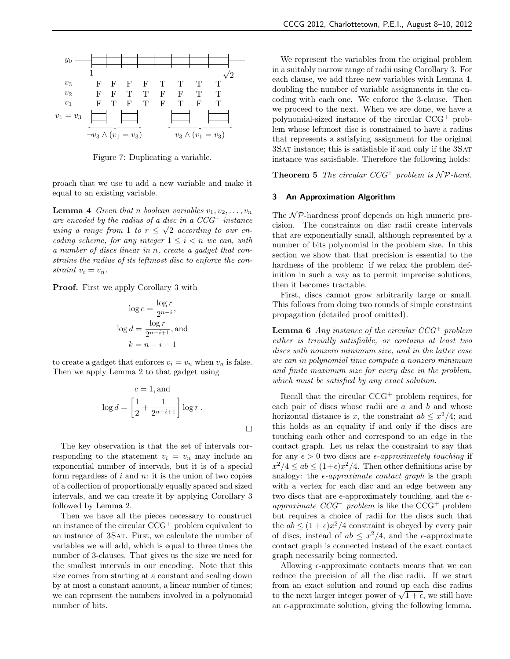

Figure 7: Duplicating a variable.

proach that we use to add a new variable and make it equal to an existing variable.

**Lemma 4** Given that n boolean variables  $v_1, v_2, \ldots, v_n$ are encoded by the radius of a disc in a  $CCG^+$  instance using a range from 1 to  $r \leq \sqrt{2}$  according to our encoding scheme, for any integer  $1 \leq i \leq n$  we can, with a number of discs linear in n, create a gadget that constrains the radius of its leftmost disc to enforce the constraint  $v_i = v_n$ .

**Proof.** First we apply Corollary 3 with

$$
\log c = \frac{\log r}{2^{n-i}},
$$
  

$$
\log d = \frac{\log r}{2^{n-i+1}},
$$
 and  

$$
k = n - i - 1
$$

to create a gadget that enforces  $v_i = v_n$  when  $v_n$  is false. Then we apply Lemma 2 to that gadget using

$$
c = 1, \text{and}
$$
  

$$
\log d = \left[\frac{1}{2} + \frac{1}{2^{n-i+1}}\right] \log r.
$$

The key observation is that the set of intervals corresponding to the statement  $v_i = v_n$  may include an exponential number of intervals, but it is of a special form regardless of  $i$  and  $n$ : it is the union of two copies of a collection of proportionally equally spaced and sized intervals, and we can create it by applying Corollary 3 followed by Lemma 2.

Then we have all the pieces necessary to construct an instance of the circular CCG<sup>+</sup> problem equivalent to an instance of 3Sat. First, we calculate the number of variables we will add, which is equal to three times the number of 3-clauses. That gives us the size we need for the smallest intervals in our encoding. Note that this size comes from starting at a constant and scaling down by at most a constant amount, a linear number of times; we can represent the numbers involved in a polynomial number of bits.

We represent the variables from the original problem in a suitably narrow range of radii using Corollary 3. For each clause, we add three new variables with Lemma 4, doubling the number of variable assignments in the encoding with each one. We enforce the 3-clause. Then we proceed to the next. When we are done, we have a polynomial-sized instance of the circular CCG<sup>+</sup> problem whose leftmost disc is constrained to have a radius that represents a satisfying assignment for the original 3Sat instance; this is satisfiable if and only if the 3Sat instance was satisfiable. Therefore the following holds:

**Theorem 5** The circular  $CCG^+$  problem is  $\mathcal{NP}$ -hard.

## 3 An Approximation Algorithm

The  $N$ P-hardness proof depends on high numeric precision. The constraints on disc radii create intervals that are exponentially small, although represented by a number of bits polynomial in the problem size. In this section we show that that precision is essential to the hardness of the problem: if we relax the problem definition in such a way as to permit imprecise solutions, then it becomes tractable.

First, discs cannot grow arbitrarily large or small. This follows from doing two rounds of simple constraint propagation (detailed proof omitted).

**Lemma 6** Any instance of the circular  $CCG^+$  problem either is trivially satisfiable, or contains at least two discs with nonzero minimum size, and in the latter case we can in polynomial time compute a nonzero minimum and finite maximum size for every disc in the problem, which must be satisfied by any exact solution.

Recall that the circular  $CCG^+$  problem requires, for each pair of discs whose radii are  $a$  and  $b$  and whose horizontal distance is x, the constraint  $ab \leq x^2/4$ ; and this holds as an equality if and only if the discs are touching each other and correspond to an edge in the contact graph. Let us relax the constraint to say that for any  $\epsilon > 0$  two discs are  $\epsilon$ -approximately touching if  $x^2/4 \le ab \le (1+\epsilon)x^2/4$ . Then other definitions arise by analogy: the  $\epsilon$ -*approximate contact graph* is the graph with a vertex for each disc and an edge between any two discs that are  $\epsilon$ -approximately touching, and the  $\epsilon$ approximate  $CCG^+$  problem is like the  $CCG^+$  problem but requires a choice of radii for the discs such that the  $ab \leq (1+\epsilon)x^2/4$  constraint is obeyed by every pair of discs, instead of  $ab \leq x^2/4$ , and the  $\epsilon$ -approximate contact graph is connected instead of the exact contact graph necessarily being connected.

Allowing  $\epsilon$ -approximate contacts means that we can reduce the precision of all the disc radii. If we start from an exact solution and round up each disc radius to the next larger integer power of  $\sqrt{1+\epsilon}$ , we still have an  $\epsilon$ -approximate solution, giving the following lemma.